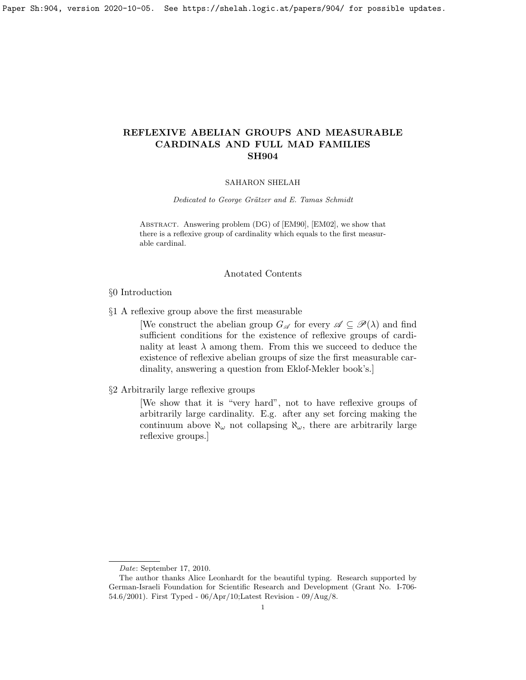## REFLEXIVE ABELIAN GROUPS AND MEASURABLE CARDINALS AND FULL MAD FAMILIES SH904

#### SAHARON SHELAH

Dedicated to George Grätzer and E. Tamas Schmidt

Abstract. Answering problem (DG) of [\[EM90\]](#page-18-0), [\[EM02\]](#page-18-1), we show that there is a reflexive group of cardinality which equals to the first measurable cardinal.

#### Anotated Contents

§0 Introduction

§1 A reflexive group above the first measurable

[We construct the abelian group  $G_{\mathscr{A}}$  for every  $\mathscr{A} \subseteq \mathscr{P}(\lambda)$  and find sufficient conditions for the existence of reflexive groups of cardinality at least  $\lambda$  among them. From this we succeed to deduce the existence of reflexive abelian groups of size the first measurable cardinality, answering a question from Eklof-Mekler book's.]

§2 Arbitrarily large reflexive groups

[We show that it is "very hard", not to have reflexive groups of arbitrarily large cardinality. E.g. after any set forcing making the continuum above  $\aleph_{\omega}$  not collapsing  $\aleph_{\omega}$ , there are arbitrarily large reflexive groups.]

Date: September 17, 2010.

The author thanks Alice Leonhardt for the beautiful typing. Research supported by German-Israeli Foundation for Scientific Research and Development (Grant No. I-706- 54.6/2001). First Typed - 06/Apr/10;Latest Revision - 09/Aug/8.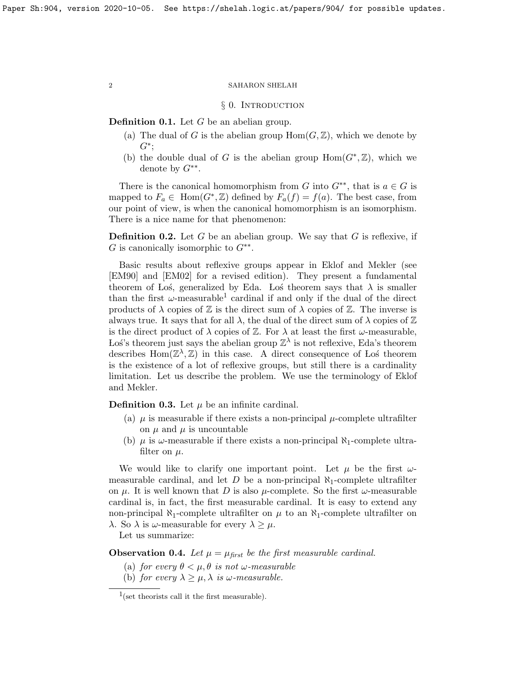## § 0. INTRODUCTION

**Definition 0.1.** Let  $G$  be an abelian group.

- (a) The dual of G is the abelian group  $\text{Hom}(G,\mathbb{Z})$ , which we denote by  $G^*$ ;
- (b) the double dual of G is the abelian group  $\text{Hom}(G^*,\mathbb{Z})$ , which we denote by  $G^{**}$ .

There is the canonical homomorphism from G into  $G^{**}$ , that is  $a \in G$  is mapped to  $F_a \in \text{Hom}(G^*, \mathbb{Z})$  defined by  $F_a(f) = f(a)$ . The best case, from our point of view, is when the canonical homomorphism is an isomorphism. There is a nice name for that phenomenon:

**Definition 0.2.** Let G be an abelian group. We say that G is reflexive, if  $G$  is canonically isomorphic to  $G^{**}$ .

Basic results about reflexive groups appear in Eklof and Mekler (see [\[EM90\]](#page-18-0) and [\[EM02\]](#page-18-1) for a revised edition). They present a fundamental theorem of Los, generalized by Eda. Los theorem says that  $\lambda$  is smaller than the first  $\omega$ -measurable<sup>[1](#page-1-0)</sup> cardinal if and only if the dual of the direct products of  $\lambda$  copies of  $\mathbb Z$  is the direct sum of  $\lambda$  copies of  $\mathbb Z$ . The inverse is always true. It says that for all  $\lambda$ , the dual of the direct sum of  $\lambda$  copies of  $\mathbb Z$ is the direct product of  $\lambda$  copies of  $\mathbb{Z}$ . For  $\lambda$  at least the first  $\omega$ -measurable, Los's theorem just says the abelian group  $\mathbb{Z}^{\lambda}$  is not reflexive, Eda's theorem describes  $\text{Hom}(\mathbb{Z}^{\lambda}, \mathbb{Z})$  in this case. A direct consequence of Los theorem is the existence of a lot of reflexive groups, but still there is a cardinality limitation. Let us describe the problem. We use the terminology of Eklof and Mekler.

**Definition 0.3.** Let  $\mu$  be an infinite cardinal.

- (a)  $\mu$  is measurable if there exists a non-principal  $\mu$ -complete ultrafilter on  $\mu$  and  $\mu$  is uncountable
- (b)  $\mu$  is  $\omega$ -measurable if there exists a non-principal  $\aleph_1$ -complete ultrafilter on  $\mu$ .

We would like to clarify one important point. Let  $\mu$  be the first  $\omega$ measurable cardinal, and let D be a non-principal  $\aleph_1$ -complete ultrafilter on  $\mu$ . It is well known that D is also  $\mu$ -complete. So the first  $\omega$ -measurable cardinal is, in fact, the first measurable cardinal. It is easy to extend any non-principal  $\aleph_1$ -complete ultrafilter on  $\mu$  to an  $\aleph_1$ -complete ultrafilter on λ. So  $\lambda$  is ω-measurable for every  $\lambda \geq \mu$ .

Let us summarize:

**Observation 0.4.** Let  $\mu = \mu_{\text{first}}$  be the first measurable cardinal.

- (a) for every  $\theta < \mu, \theta$  is not  $\omega$ -measurable
- (b) for every  $\lambda \geq \mu, \lambda$  is  $\omega$ -measurable.

<span id="page-1-0"></span><sup>&</sup>lt;sup>1</sup>(set theorists call it the first measurable).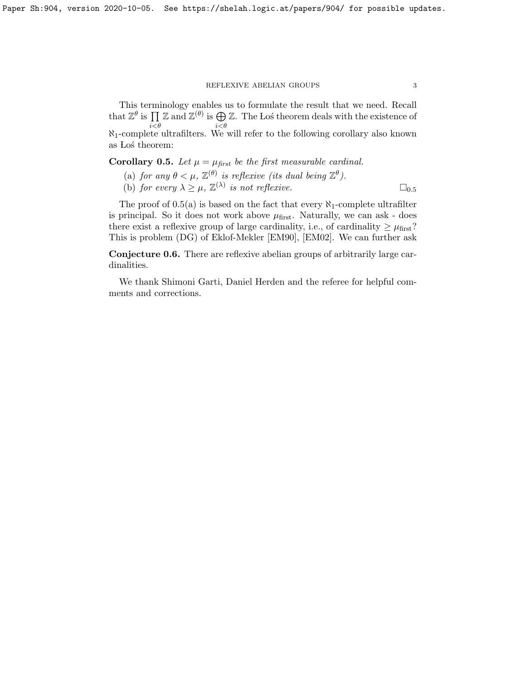#### REFLEXIVE ABELIAN GROUPS  $\hspace{1.5cm} 3$

This terminology enables us to formulate the result that we need. Recall that  $\mathbb{Z}^{\theta}$  is  $\prod \mathbb{Z}$  and  $\mathbb{Z}^{(\theta)}$  is  $\bigoplus \mathbb{Z}$ . The Los theorem deals with the existence of  $i < \theta$ <br>N<sub>1</sub>-complete ultrafilters. We will refer to the following corollary also known as Los theorem:

<span id="page-2-0"></span>Corollary 0.5. Let  $\mu = \mu_{first}$  be the first measurable cardinal.

- (a) for any  $\theta < \mu$ ,  $\mathbb{Z}^{(\theta)}$  is reflexive (its dual being  $\mathbb{Z}^{\theta}$ ).
- (b) for every  $\lambda \geq \mu$ ,  $\mathbb{Z}^{(\lambda)}$  is not reflexive.  $\square_{0.5}$  $\square_{0.5}$  $\square_{0.5}$

The proof of  $0.5(a)$  is based on the fact that every  $\aleph_1$ -complete ultrafilter is principal. So it does not work above  $\mu_{\text{first}}$ . Naturally, we can ask - does there exist a reflexive group of large cardinality, i.e., of cardinality  $\geq \mu_{\text{first}}$ ? This is problem (DG) of Eklof-Mekler [\[EM90\]](#page-18-0), [\[EM02\]](#page-18-1). We can further ask

<span id="page-2-1"></span>Conjecture 0.6. There are reflexive abelian groups of arbitrarily large cardinalities.

We thank Shimoni Garti, Daniel Herden and the referee for helpful comments and corrections.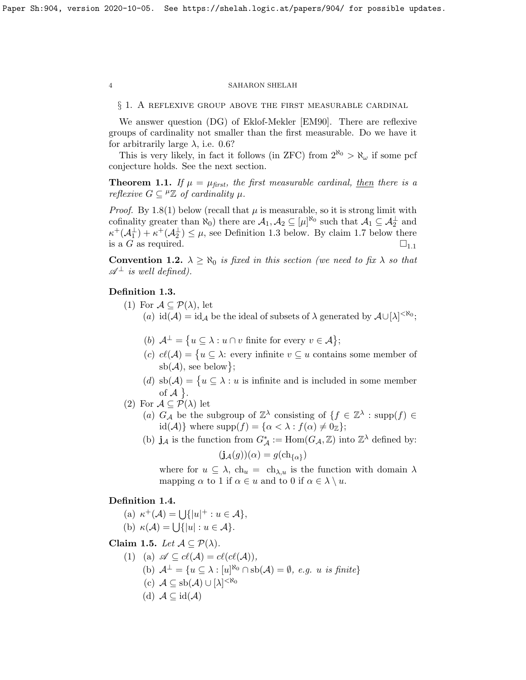§ 1. A reflexive group above the first measurable cardinal

We answer question (DG) of Eklof-Mekler [\[EM90\]](#page-18-0). There are reflexive groups of cardinality not smaller than the first measurable. Do we have it for arbitrarily large  $\lambda$ , i.e. [0.6?](#page-2-1)

This is very likely, in fact it follows (in ZFC) from  $2^{\aleph_0} > \aleph_\omega$  if some pcf conjecture holds. See the next section.

<span id="page-3-1"></span>**Theorem 1.1.** If  $\mu = \mu_{first}$ , the first measurable cardinal, then there is a reflexive  $G \subseteq {}^{\mu} \mathbb{Z}$  of cardinality  $\mu$ .

*Proof.* By [1.8\(](#page-5-0)1) below (recall that  $\mu$  is measurable, so it is strong limit with cofinality greater than  $\aleph_0$ ) there are  $\mathcal{A}_1, \mathcal{A}_2 \subseteq [\mu]^{\aleph_0}$  such that  $\mathcal{A}_1 \subseteq \mathcal{A}_2^{\perp}$  and  $\kappa^+(\mathcal{A}_1^{\perp}) + \kappa^+(\mathcal{A}_2^{\perp}) \leq \mu$ , see Definition [1.3](#page-3-0) below. By claim [1.7](#page-5-1) below there is a G as required.  $\square_{1,1}$  $\square_{1,1}$  $\square_{1,1}$ 

**Convention 1.2.**  $\lambda \geq \aleph_0$  is fixed in this section (we need to fix  $\lambda$  so that  $\mathscr{A}^{\perp}$  is well defined).

## <span id="page-3-0"></span>Definition 1.3.

- (1) For  $\mathcal{A} \subseteq \mathcal{P}(\lambda)$ , let
	- (a)  $\mathrm{id}(\mathcal{A}) = \mathrm{id}_{\mathcal{A}}$  be the ideal of subsets of  $\lambda$  generated by  $\mathcal{A} \cup [\lambda]^{< \aleph_0}$ ;
	- (b)  $\mathcal{A}^{\perp} = \{u \subseteq \lambda : u \cap v \text{ finite for every } v \in \mathcal{A}\};$
	- (c)  $cl(\mathcal{A}) = \{u \subseteq \lambda: \text{ every infinite } v \subseteq u \text{ contains some member of } \lambda\}$  $\mathrm{sb}(\mathcal{A}),$  see below $\};$
	- (d)  $\text{sb}(\mathcal{A}) = \{u \subseteq \lambda : u \text{ is infinite and is included in some member}\}$ of  $\mathcal{A}$  }.
- (2) For  $\mathcal{A} \subseteq \mathcal{P}(\lambda)$  let
	- (a)  $G_{\mathcal{A}}$  be the subgroup of  $\mathbb{Z}^{\lambda}$  consisting of  $\{f \in \mathbb{Z}^{\lambda} : \text{supp}(f) \in$ id(A)} where supp $(f) = {\alpha < \lambda : f(\alpha) \neq 0_{\mathbb{Z}}};$
	- (b)  $\mathbf{j}_{\mathcal{A}}$  is the function from  $G^*_{\mathcal{A}} := \text{Hom}(G_{\mathcal{A}}, \mathbb{Z})$  into  $\mathbb{Z}^{\lambda}$  defined by:

$$
(\mathbf{j}_{\mathcal{A}}(g))(\alpha) = g(\mathrm{ch}_{\{\alpha\}})
$$

where for  $u \subseteq \lambda$ ,  $ch_u = ch_{\lambda,u}$  is the function with domain  $\lambda$ mapping  $\alpha$  to 1 if  $\alpha \in u$  and to 0 if  $\alpha \in \lambda \setminus u$ .

## Definition 1.4.

(a)  $\kappa^+(\mathcal{A}) = \bigcup \{|u|^+ : u \in \mathcal{A}\},\$ (b)  $\kappa(\mathcal{A}) = \bigcup \{|u| : u \in \mathcal{A}\}.$ 

<span id="page-3-2"></span>Claim 1.5. Let  $\mathcal{A} \subseteq \mathcal{P}(\lambda)$ .

- (1) (a)  $\mathscr{A} \subseteq cl(\mathcal{A}) = cl(cl(\mathcal{A})),$ (b)  $\mathcal{A}^{\perp} = \{u \subseteq \lambda : [u]^{\aleph_0} \cap \mathrm{sb}(\mathcal{A}) = \emptyset, e.g. \ u \ \text{is finite}\}\$ (c)  $A \subseteq sb(A) \cup [\lambda]^{< \aleph_0}$ 
	- (d)  $A \subseteq id(A)$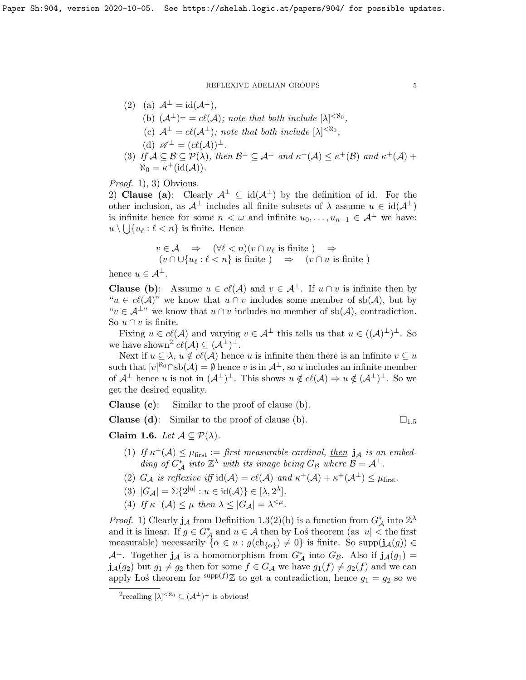#### REFLEXIVE ABELIAN GROUPS  $\hspace{1.5cm}5$

- (2) (a)  $\mathcal{A}^{\perp} = \text{id}(\mathcal{A}^{\perp}),$ (b)  $(\mathcal{A}^{\perp})^{\perp} = cl(\mathcal{A})$ ; note that both include  $[\lambda]^{<\aleph_0}$ , (c)  $\mathcal{A}^{\perp} = c\ell(\mathcal{A}^{\perp})$ ; note that both include  $[\lambda]^{<\aleph_0}$ , (d)  $\mathscr{A}^{\perp} = (c\ell(\mathcal{A}))^{\perp}$ .
- (3) If  $A \subseteq B \subseteq \mathcal{P}(\lambda)$ , then  $B^{\perp} \subseteq A^{\perp}$  and  $\kappa^{+}(A) \leq \kappa^{+}(B)$  and  $\kappa^{+}(A)$  +  $\aleph_0 = \kappa^+({\rm id}(\mathcal{A})).$

Proof. 1), 3) Obvious.

2) Clause (a): Clearly  $A^{\perp} \subseteq id(A^{\perp})$  by the definition of id. For the other inclusion, as  $\mathcal{A}^{\perp}$  includes all finite subsets of  $\lambda$  assume  $u \in \text{id}(\mathcal{A}^{\perp})$ is infinite hence for some  $n < \omega$  and infinite  $u_0, \ldots, u_{n-1} \in \mathcal{A}^{\perp}$  we have:  $u \setminus \bigcup \{u_\ell : \ell < n\}$  is finite. Hence

$$
v \in \mathcal{A} \Rightarrow (\forall \ell < n)(v \cap u_{\ell} \text{ is finite}) \Rightarrow
$$
  

$$
(v \cap \cup \{u_{\ell} : \ell < n\} \text{ is finite}) \Rightarrow (v \cap u \text{ is finite})
$$

hence  $u \in A^{\perp}$ .

**Clause (b):** Assume  $u \in cl(\mathcal{A})$  and  $v \in \mathcal{A}^{\perp}$ . If  $u \cap v$  is infinite then by " $u \in cl(\mathcal{A})$ " we know that  $u \cap v$  includes some member of sb( $\mathcal{A}$ ), but by " $v \in \mathcal{A}^{\perp}$ " we know that  $u \cap v$  includes no member of sb( $\mathcal{A}$ ), contradiction. So  $u \cap v$  is finite.

Fixing  $u \in cl(\mathcal{A})$  and varying  $v \in \mathcal{A}^{\perp}$  this tells us that  $u \in ((\mathcal{A})^{\perp})^{\perp}$ . So we have shown<sup>[2](#page-4-0)</sup>  $c\ell(\mathcal{A}) \subseteq (\mathcal{A}^{\perp})^{\perp}$ .

Next if  $u \subseteq \lambda$ ,  $u \notin cl(\mathcal{A})$  hence u is infinite then there is an infinite  $v \subseteq u$ such that  $[v]^{\aleph_0} \cap \text{sb}(\mathcal{A}) = \emptyset$  hence v is in  $\mathcal{A}^{\perp}$ , so u includes an infinite member of  $\mathcal{A}^{\perp}$  hence u is not in  $(\mathcal{A}^{\perp})^{\perp}$ . This shows  $u \notin cl(\mathcal{A}) \Rightarrow u \notin (\mathcal{A}^{\perp})^{\perp}$ . So we get the desired equality.

Clause (c): Similar to the proof of clause (b).

**Clause (d):** Similar to the proof of clause (b).  $\square_{1.5}$  $\square_{1.5}$  $\square_{1.5}$ 

<span id="page-4-1"></span>Claim 1.6. Let  $A \subseteq \mathcal{P}(\lambda)$ .

- (1) If  $\kappa^+(\mathcal{A}) \leq \mu_{\text{first}} :=$  first measurable cardinal, then  $j_{\mathcal{A}}$  is an embedding of  $G^*_{\mathcal{A}}$  into  $\mathbb{Z}^{\lambda}$  with its image being  $G_{\mathcal{B}}$  where  $\mathcal{B} = \mathcal{A}^{\perp}$ .
- (2)  $G_{\mathcal{A}}$  is reflexive iff  $\mathrm{id}(\mathcal{A}) = cl(\mathcal{A})$  and  $\kappa^+(\mathcal{A}) + \kappa^+(\mathcal{A}^{\perp}) \leq \mu_{\text{first}}$ .
- (3)  $|G_{\mathcal{A}}| = \Sigma \{2^{|u|} : u \in \text{id}(\mathcal{A})\} \in [\lambda, 2^{\lambda}].$
- (4) If  $\kappa^+(\mathcal{A}) \leq \mu$  then  $\lambda \leq |G_{\mathcal{A}}| = \lambda^{\leq \mu}$ .

*Proof.* 1) Clearly  $\mathbf{j}_{\mathcal{A}}$  from Definition [1.3\(](#page-3-0)2)(b) is a function from  $G^*_{\mathcal{A}}$  into  $\mathbb{Z}^{\lambda}$ and it is linear. If  $g \in G^*_{\mathcal{A}}$  and  $u \in \mathcal{A}$  then by Los theorem (as  $|u| <$  the first measurable) necessarily  $\{\alpha \in u : g(\text{ch}_{\{\alpha\}}) \neq 0\}$  is finite. So supp $(j_{\mathcal{A}}(g)) \in$  $\mathcal{A}^{\perp}$ . Together  $\mathbf{j}_{\mathcal{A}}$  is a homomorphism from  $G_{\mathcal{A}}^{*}$  into  $G_{\mathcal{B}}$ . Also if  $\mathbf{j}_{\mathcal{A}}(g_1)$  =  $j_{\mathcal{A}}(g_2)$  but  $g_1 \neq g_2$  then for some  $f \in G_{\mathcal{A}}$  we have  $g_1(f) \neq g_2(f)$  and we can apply Los theorem for  $\supp(f)\mathbb{Z}$  to get a contradiction, hence  $g_1 = g_2$  so we

<span id="page-4-0"></span> $^{2}$ recalling  $[\lambda]^{<\aleph_{0}} \subseteq (\mathcal{A}^{\perp})^{\perp}$  is obvious!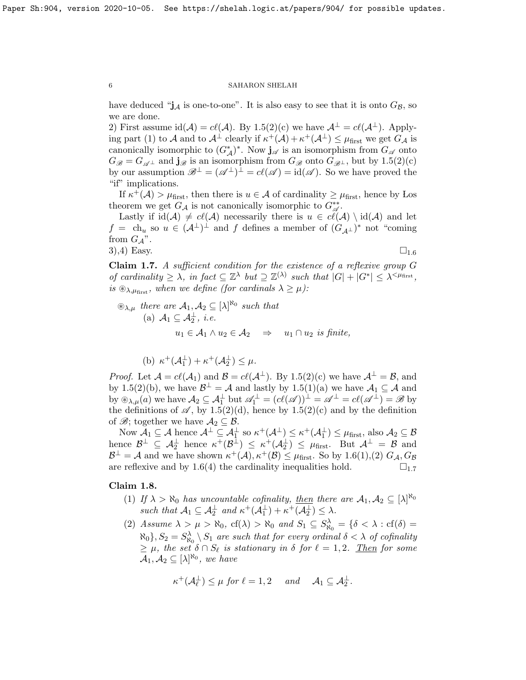have deduced " $j_A$  is one-to-one". It is also easy to see that it is onto  $G_B$ , so we are done.

2) First assume  $id(\mathcal{A}) = cl(\mathcal{A})$ . By [1.5\(](#page-3-2)2)(c) we have  $\mathcal{A}^{\perp} = cl(\mathcal{A}^{\perp})$ . Applying part (1) to A and to  $\mathcal{A}^{\perp}$  clearly if  $\kappa^+(\mathcal{A}) + \kappa^+(\mathcal{A}^{\perp}) \leq \mu_{\text{first}}$  we get  $G_{\mathcal{A}}$  is canonically isomorphic to  $(G^*_\mathcal{A})^*$ . Now  $\mathbf{j}_{\mathscr{A}}$  is an isomorphism from  $G_\mathscr{A}$  onto  $G_{\mathscr{B}} = G_{\mathscr{A}^{\perp}}$  and  $\mathbf{j}_{\mathscr{B}}$  is an isomorphism from  $G_{\mathscr{B}}$  onto  $G_{\mathscr{B}^{\perp}}$ , but by  $1.5(2)(c)$ by our assumption  $\mathscr{B}^{\perp} = (\mathscr{A}^{\perp})^{\perp} = cl(\mathscr{A}) = id(\mathscr{A})$ . So we have proved the "if" implications.

If  $\kappa^+(\mathcal{A}) > \mu_{\text{first}}$ , then there is  $u \in \mathcal{A}$  of cardinality  $\geq \mu_{\text{first}}$ , hence by Los theorem we get  $G_{\mathcal{A}}$  is not canonically isomorphic to  $G^{**}_{\mathcal{A}}$ .

Lastly if  $id(\mathcal{A}) \neq cl(\mathcal{A})$  necessarily there is  $u \in cl(\mathcal{A}) \setminus id(\mathcal{A})$  and let  $f = \text{ch}_u$  so  $u \in (\mathcal{A}^{\perp})^{\perp}$  and f defines a member of  $(G_{\mathcal{A}^{\perp}})^*$  not "coming from  $G_{\mathcal{A}}$ ". 3),4) Easy.  $\square_{1.6}$  $\square_{1.6}$  $\square_{1.6}$ 

<span id="page-5-1"></span>Claim 1.7. A sufficient condition for the existence of a reflexive group G of cardinality  $\geq \lambda$ , in fact  $\subseteq \mathbb{Z}^{\lambda}$  but  $\supseteq \mathbb{Z}^{(\lambda)}$  such that  $|G| + |G^*| \leq \lambda^{\leq \mu_{\text{first}}}$ , is  $\mathcal{D}_{\lambda,\mu_{\text{first}}}$ , when we define (for cardinals  $\lambda \geq \mu$ ):

$$
\mathcal{L}_{\lambda,\mu} \text{ there are } \mathcal{A}_1, \mathcal{A}_2 \subseteq [\lambda]^{\aleph_0} \text{ such that}
$$
  
(a)  $\mathcal{A}_1 \subseteq \mathcal{A}_2^{\perp}, i.e.$   
 $u_1 \in \mathcal{A}_1 \land u_2 \in \mathcal{A}_2 \implies u_1 \cap u_2 \text{ is finite,}$ 

(b)  $\kappa^+(\mathcal{A}_1^{\perp}) + \kappa^+(\mathcal{A}_2^{\perp}) \leq \mu$ .

*Proof.* Let  $\mathcal{A} = cl(\mathcal{A}_1)$  and  $\mathcal{B} = cl(\mathcal{A}^{\perp})$ . By [1.5\(](#page-3-2)2)(c) we have  $\mathcal{A}^{\perp} = \mathcal{B}$ , and by [1.5\(](#page-3-2)2)(b), we have  $\mathcal{B}^{\perp} = \mathcal{A}$  and lastly by 1.5(1)(a) we have  $\mathcal{A}_1 \subseteq \mathcal{A}$  and by  $\mathfrak{B}_{\lambda,\mu}(a)$  we have  $\mathcal{A}_2 \subseteq \mathcal{A}_1^{\perp}$  but  $\mathscr{A}_1^{\perp} = (c\ell(\mathscr{A}))^{\perp} = \mathscr{A}^{\perp} = c\ell(\mathscr{A}^{\perp}) = \mathscr{B}$  by the definitions of  $\mathscr{A}$ , by [1.5\(](#page-3-2)2)(d), hence by 1.5(2)(c) and by the definition of  $\mathscr{B}$ ; together we have  $\mathcal{A}_2 \subseteq \mathcal{B}$ .

Now  $A_1 \subseteq A$  hence  $A^{\perp} \subseteq A_1^{\perp}$  so  $\kappa^+(A^{\perp}) \leq \kappa^+(A_1^{\perp}) \leq \mu_{\text{first}}$ , also  $A_2 \subseteq B$ hence  $\mathcal{B}^{\perp} \subseteq \mathcal{A}_{2}^{\perp}$  hence  $\kappa^{+}(\mathcal{B}^{\perp}) \leq \kappa^{+}(\mathcal{A}_{2}^{\perp}) \leq \mu_{\text{first}}$ . But  $\mathcal{A}^{\perp} = \mathcal{B}$  and  $\mathcal{B}^{\perp} = \mathcal{A}$  and we have shown  $\kappa^+(\mathcal{A}), \kappa^+(\mathcal{B}) \leq \mu_{\text{first}}$ . So by [1.6\(](#page-4-1)1),(2)  $G_{\mathcal{A}}, G_{\mathcal{B}}$ are reflexive and by [1.6\(](#page-4-1)4) the cardinality inequalities hold.  $\square_{1.7}$  $\square_{1.7}$  $\square_{1.7}$ 

## <span id="page-5-0"></span>Claim 1.8.

- (1) If  $\lambda > \aleph_0$  has uncountable cofinality, then there are  $A_1, A_2 \subseteq [\lambda]^{\aleph_0}$ such that  $\mathcal{A}_1 \subseteq \mathcal{A}_2^{\perp}$  and  $\kappa^+(\mathcal{A}_1^{\perp}) + \kappa^+(\mathcal{A}_2^{\perp}) \leq \lambda$ .
- (2) Assume  $\lambda > \mu > \aleph_0$ ,  $cf(\lambda) > \aleph_0$  and  $S_1 \subseteq S_{\aleph_0}^{\lambda} = \{ \delta < \lambda : cf(\delta) = \emptyset \}$  $\aleph_0$ ,  $S_2 = S^{\lambda}_{\aleph_0} \setminus S_1$  are such that for every ordinal  $\delta < \lambda$  of cofinality  $\geq \mu$ , the set  $\delta \cap S_{\ell}$  is stationary in  $\delta$  for  $\ell = 1, 2$ . Then for some  $\mathcal{A}_1, \mathcal{A}_2 \subseteq [\lambda]^{\aleph_0}$ , we have

$$
\kappa^+(\mathcal{A}_{\ell}^{\perp}) \leq \mu \text{ for } \ell = 1,2 \quad \text{ and } \quad \mathcal{A}_1 \subseteq \mathcal{A}_2^{\perp}.
$$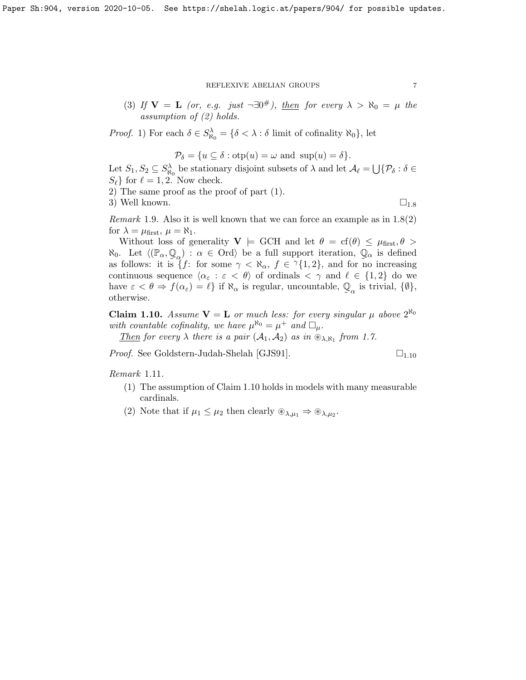## REFLEXIVE ABELIAN GROUPS  $\hspace{1.5cm} 7$

(3) If  $\mathbf{V} = \mathbf{L}$  (or, e.g. just  $\neg \exists 0^{\#}$ ), then for every  $\lambda > \aleph_0 = \mu$  the assumption of (2) holds.

*Proof.* 1) For each  $\delta \in S^{\lambda}_{\aleph_0} = \{\delta \lt \lambda : \delta \text{ limit of cofinality } \aleph_0\}$ , let

$$
\mathcal{P}_{\delta} = \{ u \subseteq \delta : \text{otp}(u) = \omega \text{ and } \text{sup}(u) = \delta \}.
$$

Let  $S_1, S_2 \subseteq S^{\lambda}_{\aleph_0}$  be stationary disjoint subsets of  $\lambda$  and let  $\mathcal{A}_{\ell} = \bigcup \{ \mathcal{P}_{\delta} : \delta \in$  $S_{\ell}$  for  $\ell = 1, 2$ . Now check.

2) The same proof as the proof of part (1).

3) Well known.  $\Box_{1.8}$  $\Box_{1.8}$  $\Box_{1.8}$ 

*Remark* 1.9. Also it is well known that we can force an example as in  $1.8(2)$ for  $\lambda = \mu_{\text{first}}, \mu = \aleph_1$ .

Without loss of generality  $V \models GCH$  and let  $\theta = cf(\theta) \leq \mu_{first}, \theta >$  $\aleph_0$ . Let  $\langle (\mathbb{P}_\alpha, \mathbb{Q}_\alpha) : \alpha \in \text{Ord}\rangle$  be a full support iteration,  $\mathbb{Q}_\alpha$  is defined as follows: it is  $\{f: \text{ for some } \gamma < \aleph_\alpha, f \in \gamma\{1,2\}, \text{ and for no increasing } \}$ continuous sequence  $\langle \alpha_{\varepsilon} : \varepsilon < \theta \rangle$  of ordinals  $\langle \gamma \rangle$  and  $\ell \in \{1, 2\}$  do we have  $\varepsilon < \theta \Rightarrow f(\alpha_{\varepsilon}) = \ell$  if  $\aleph_{\alpha}$  is regular, uncountable,  $\mathbb Q$  $\mathbb{Q}_{\alpha}$  is trivial,  $\{\emptyset\},\$ otherwise.

<span id="page-6-0"></span>**Claim 1.10.** Assume  $V = L$  or much less: for every singular  $\mu$  above  $2^{\aleph_0}$ with countable cofinality, we have  $\mu^{\aleph_0} = \mu^+$  and  $\Box_\mu$ .

Then for every  $\lambda$  there is a pair  $(\mathcal{A}_1, \mathcal{A}_2)$  as in  $\hat{\otimes}_{\lambda, \aleph_1}$  from [1.7.](#page-5-1)

*Proof.* See Goldstern-Judah-Shelah [\[GJS91\]](#page-18-2).  $\square_{1.10}$  $\square_{1.10}$  $\square_{1.10}$ 

Remark 1.11.

- (1) The assumption of Claim [1.10](#page-6-0) holds in models with many measurable cardinals.
- (2) Note that if  $\mu_1 \leq \mu_2$  then clearly  $\mathcal{L}_{\lambda,\mu_1} \Rightarrow \mathcal{L}_{\lambda,\mu_2}$ .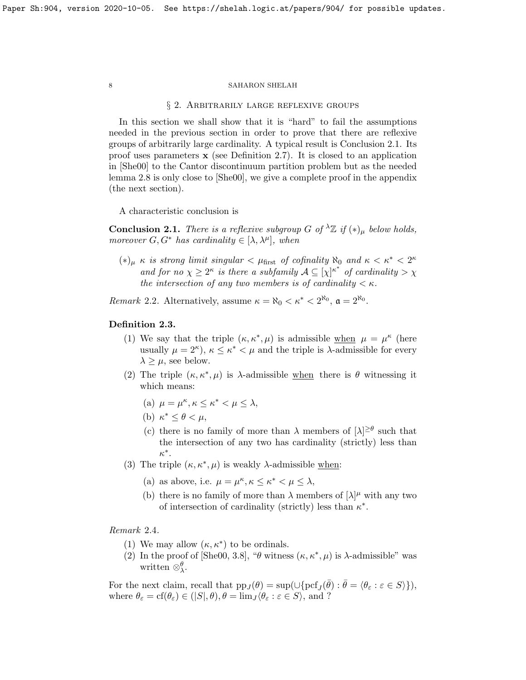#### § 2. Arbitrarily large reflexive groups

In this section we shall show that it is "hard" to fail the assumptions needed in the previous section in order to prove that there are reflexive groups of arbitrarily large cardinality. A typical result is Conclusion [2.1.](#page-7-0) Its proof uses parameters  $x$  (see Definition [2.7\)](#page-8-0). It is closed to an application in [\[She00\]](#page-18-3) to the Cantor discontinuum partition problem but as the needed lemma [2.8](#page-9-0) is only close to [\[She00\]](#page-18-3), we give a complete proof in the appendix (the next section).

A characteristic conclusion is

<span id="page-7-0"></span>**Conclusion 2.1.** There is a reflexive subgroup G of  $^{\lambda} \mathbb{Z}$  if  $(*)_\mu$  below holds, moreover  $G, G^*$  has cardinality  $\in [\lambda, \lambda^\mu]$ , when

 $(*)_{\mu} \kappa$  is strong limit singular  $< \mu_{\text{first}}$  of cofinality  $\aleph_0$  and  $\kappa < \kappa^* < 2^{\kappa}$ and for no  $\chi \geq 2^{\kappa}$  is there a subfamily  $\mathcal{A} \subseteq [\chi]^{\kappa^*}$  of cardinality  $>\chi$ the intersection of any two members is of cardinality  $\lt \kappa$ .

Remark 2.2. Alternatively, assume  $\kappa = \aleph_0 < \kappa^* < 2^{\aleph_0}$ ,  $\mathfrak{a} = 2^{\aleph_0}$ .

## <span id="page-7-1"></span>Definition 2.3.

- (1) We say that the triple  $(\kappa, \kappa^*, \mu)$  is admissible when  $\mu = \mu^{\kappa}$  (here usually  $\mu = 2^{\kappa}$ ,  $\kappa \leq \kappa^* < \mu$  and the triple is  $\lambda$ -admissible for every  $\lambda \geq \mu$ , see below.
- (2) The triple  $(\kappa, \kappa^*, \mu)$  is  $\lambda$ -admissible when there is  $\theta$  witnessing it which means:
	- (a)  $\mu = \mu^{\kappa}, \kappa \leq \kappa^* < \mu \leq \lambda$ ,
	- (b)  $\kappa^* \leq \theta < \mu$ ,
	- (c) there is no family of more than  $\lambda$  members of  $[\lambda]^{\geq \theta}$  such that the intersection of any two has cardinality (strictly) less than  $\kappa^*$ .
- (3) The triple  $(\kappa, \kappa^*, \mu)$  is weakly  $\lambda$ -admissible when:
	- (a) as above, i.e.  $\mu = \mu^{\kappa}, \kappa \leq \kappa^* < \mu \leq \lambda$ ,
	- (b) there is no family of more than  $\lambda$  members of  $[\lambda]^\mu$  with any two of intersection of cardinality (strictly) less than  $\kappa^*$ .

Remark 2.4.

- (1) We may allow  $(\kappa, \kappa^*)$  to be ordinals.
- (2) In the proof of [\[She00,](#page-18-3) 3.8], " $\theta$  witness  $(\kappa, \kappa^*, \mu)$  is  $\lambda$ -admissible" was written  $\otimes_{\lambda}^{\theta}$ .

For the next claim, recall that  $pp_J(\theta) = \sup(\cup \{ \text{pcf}_J(\bar{\theta}) : \bar{\theta} = \langle \theta_{\varepsilon} : \varepsilon \in S \rangle \}),$ where  $\theta_{\varepsilon} = \text{cf}(\theta_{\varepsilon}) \in (|S|, \theta), \theta = \lim_{J} \langle \theta_{\varepsilon} : \varepsilon \in S \rangle$ , and ?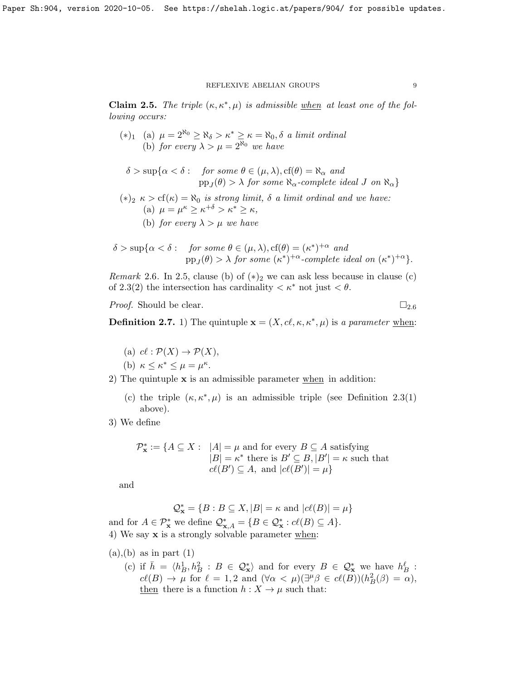<span id="page-8-1"></span>Claim 2.5. The triple  $(\kappa, \kappa^*, \mu)$  is admissible when at least one of the following occurs:

- (\*)<sub>1</sub> (a)  $\mu = 2^{\aleph_0} \ge \aleph_{\delta} > \kappa^* \ge \kappa = \aleph_0, \delta$  a limit ordinal (b) for every  $\lambda > \mu = 2^{\aleph_0}$  we have
- $\delta > \sup \{ \alpha < \delta : \text{ for some } \theta \in (\mu, \lambda), \text{cf}(\theta) = \aleph_{\alpha} \text{ and } \}$  $\text{pp}_J(\theta) > \lambda$  for some  $\aleph_{\alpha}$ -complete ideal J on  $\aleph_{\alpha}\}$
- (\*)<sub>2</sub>  $\kappa > cf(\kappa) = \aleph_0$  is strong limit,  $\delta$  a limit ordinal and we have: (a)  $\mu = \mu^{\kappa} \geq \kappa^{+\delta} > \kappa^* \geq \kappa$ ,
	- (b) for every  $\lambda > \mu$  we have

$$
\delta > \sup \{ \alpha < \delta : \text{ for some } \theta \in (\mu, \lambda), cf(\theta) = (\kappa^*)^{+\alpha} \text{ and } \\\text{pp}_J(\theta) > \lambda \text{ for some } (\kappa^*)^{+\alpha} \text{-complete ideal on } (\kappa^*)^{+\alpha} \}.
$$

<span id="page-8-2"></span>*Remark* 2.6. In [2.5,](#page-8-1) clause (b) of  $(*)_2$  we can ask less because in clause (c) of [2.3\(](#page-7-1)2) the intersection has cardinality  $\langle \kappa^* \rangle$  not just  $\langle \theta \rangle$ .

*Proof.* Should be clear.  $\Box_{2.6}$  $\Box_{2.6}$  $\Box_{2.6}$ 

<span id="page-8-0"></span>**Definition 2.7.** 1) The quintuple  $\mathbf{x} = (X, c\ell, \kappa, \kappa^*, \mu)$  is a parameter when:

- (a)  $c \ell : \mathcal{P}(X) \to \mathcal{P}(X),$
- (b)  $\kappa \leq \kappa^* \leq \mu = \mu^{\kappa}$ .
- 2) The quintuple  $x$  is an admissible parameter when in addition:
	- (c) the triple  $(\kappa, \kappa^*, \mu)$  is an admissible triple (see Definition [2.3\(](#page-7-1)1) above).

3) We define

$$
\mathcal{P}_{\mathbf{x}}^* := \{ A \subseteq X : \ |A| = \mu \text{ and for every } B \subseteq A \text{ satisfying} \ |B| = \kappa^* \text{ there is } B' \subseteq B, |B'| = \kappa \text{ such that} \ c\ell(B') \subseteq A, \text{ and } |c\ell(B')| = \mu \}
$$

and

$$
\mathcal{Q}_{\mathbf{x}}^* = \{B : B \subseteq X, |B| = \kappa \text{ and } |c\ell(B)| = \mu\}
$$
  
and for  $A \in \mathcal{P}_{\mathbf{x}}^*$  we define  $\mathcal{Q}_{\mathbf{x},A}^* = \{B \in \mathcal{Q}_{\mathbf{x}}^* : c\ell(B) \subseteq A\}.$   
4) We say **x** is a strongly solvable parameter when:

- $(a), (b)$  as in part  $(1)$ 
	- (c) if  $\bar{h} = \langle h_B^1, h_B^2 : B \in \mathcal{Q}_{\mathbf{x}}^* \rangle$  and for every  $B \in \mathcal{Q}_{\mathbf{x}}^*$  we have  $h_B^{\ell}$ :  $c\ell(B) \to \mu$  for  $\ell = 1, 2$  and  $(\forall \alpha < \mu)(\exists^{\mu} \beta \in c\ell(B))(h_B^2(\beta) = \alpha),$ then there is a function  $h: X \to \mu$  such that: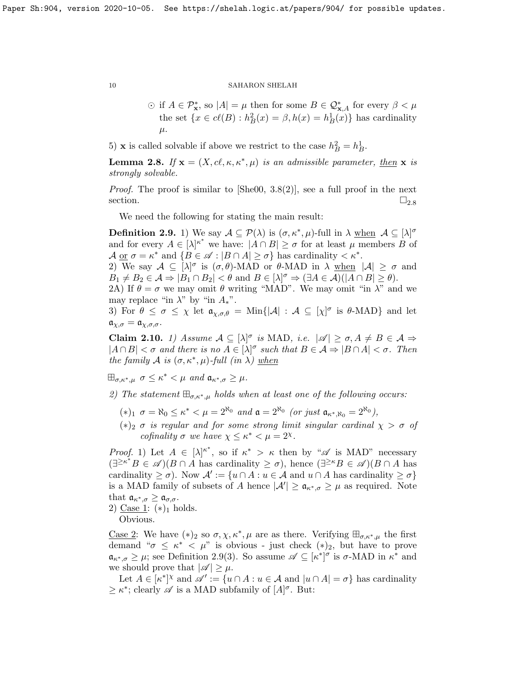$\odot$  if  $A \in \mathcal{P}_{\mathbf{x}}^*$ , so  $|A| = \mu$  then for some  $B \in \mathcal{Q}_{\mathbf{x},A}^*$  for every  $\beta < \mu$ the set  $\{x \in cl(B) : h_B^2(x) = \beta, h(x) = h_B^1(x)\}\$ has cardinality  $\mu$ .

5) **x** is called solvable if above we restrict to the case  $h_B^2 = h_B^1$ .

<span id="page-9-0"></span>**Lemma 2.8.** If  $\mathbf{x} = (X, c\ell, \kappa, \kappa^*, \mu)$  is an admissible parameter, then  $\mathbf{x}$  is strongly solvable.

*Proof.* The proof is similar to  $[\text{She00, 3.8(2)}]$ , see a full proof in the next section.  $\square_{2.8}$  $\square_{2.8}$  $\square_{2.8}$ 

We need the following for stating the main result:

<span id="page-9-1"></span>**Definition 2.9.** 1) We say  $A \subseteq \mathcal{P}(\lambda)$  is  $(\sigma, \kappa^*, \mu)$ -full in  $\lambda$  when  $A \subseteq [\lambda]^\sigma$ and for every  $A \in |\lambda|^{k^*}$  we have:  $|A \cap B| \ge \sigma$  for at least  $\mu$  members B of  $\mathcal{A}$  or  $\sigma = \kappa^*$  and  $\{B \in \mathscr{A} : |B \cap A| \ge \sigma\}$  has cardinality  $\lt \kappa^*$ .

2) We say  $A \subseteq [\lambda]^\sigma$  is  $(\sigma, \theta)$ -MAD or  $\theta$ -MAD in  $\lambda$  when  $|A| \ge \sigma$  and  $B_1 \neq B_2 \in \mathcal{A} \Rightarrow |B_1 \cap B_2| < \theta \text{ and } B \in [\lambda]^\sigma \Rightarrow (\exists A \in \mathcal{A})(|A \cap B| \ge \theta).$ 

2A) If  $\theta = \sigma$  we may omit  $\theta$  writing "MAD". We may omit "in  $\lambda$ " and we may replace "in  $\lambda$ " by "in  $A_*$ ".

3) For  $\theta \leq \sigma \leq \chi$  let  $\mathfrak{a}_{\chi,\sigma,\theta} = \text{Min}\{|\mathcal{A}| : \mathcal{A} \subseteq [\chi]^{\sigma}$  is  $\theta$ -MAD} and let  $a_{\chi,\sigma} = a_{\chi,\sigma,\sigma}.$ 

<span id="page-9-2"></span>**Claim 2.10.** 1) Assume  $A \subseteq [\lambda]^\sigma$  is MAD, i.e.  $|\mathscr{A}| \ge \sigma, A \ne B \in \mathcal{A} \Rightarrow$  $|A \cap B| < \sigma$  and there is no  $A \in [\lambda]^\sigma$  such that  $B \in \mathcal{A} \Rightarrow |B \cap A| < \sigma$ . Then the family A is  $(\sigma, \kappa^*, \mu)$ -full  $(in \lambda)$  when

 $\boxplus_{\sigma,\kappa^*,\mu} \sigma \leq \kappa^* < \mu$  and  $\mathfrak{a}_{\kappa^*,\sigma} \geq \mu$ .

2) The statement  $\mathbb{H}_{\sigma,\kappa^*,\mu}$  holds when at least one of the following occurs:

- $(*)_1$   $\sigma = \aleph_0 \leq \kappa^* < \mu = 2^{\aleph_0}$  and  $\mathfrak{a} = 2^{\aleph_0}$  (or just  $\mathfrak{a}_{\kappa^*,\aleph_0} = 2^{\aleph_0}$ ),
- $(*)_2 \sigma$  is regular and for some strong limit singular cardinal  $\chi > \sigma$  of cofinality  $\sigma$  we have  $\chi \leq \kappa^* < \mu = 2^{\chi}$ .

*Proof.* 1) Let  $A \in [\lambda]^{\kappa^*}$ , so if  $\kappa^* > \kappa$  then by " $\mathscr A$  is MAD" necessary  $(\exists^{\geq\kappa^*} B \in \mathscr{A}) (B \cap A)$  has cardinality  $\geq \sigma$ ), hence  $(\exists^{\geq\kappa} B \in \mathscr{A}) (B \cap A)$  has cardinality  $\geq \sigma$ ). Now  $\mathcal{A}' := \{u \cap A : u \in \mathcal{A} \text{ and } u \cap A \text{ has cardinality } \geq \sigma\}$ is a MAD family of subsets of A hence  $|\mathcal{A}'| \geq \mathfrak{a}_{\kappa^*,\sigma} \geq \mu$  as required. Note that  $\mathfrak{a}_{\kappa^*,\sigma} \geq \mathfrak{a}_{\sigma,\sigma}.$ 2) Case 1:  $(*)_1$  holds.

Obvious.

<u>Case 2</u>: We have  $(*)_2$  so  $\sigma, \chi, \kappa^*, \mu$  are as there. Verifying  $\boxplus_{\sigma,\kappa^*,\mu}$  the first demand " $\sigma \leq \kappa^* < \mu$ " is obvious - just check  $(*)_2$ , but have to prove  $\mathfrak{a}_{\kappa^*,\sigma} \geq \mu$ ; see Definition [2.9\(](#page-9-1)3). So assume  $\mathscr{A} \subseteq [\kappa^*]^{\sigma}$  is  $\sigma$ -MAD in  $\kappa^*$  and we should prove that  $|\mathscr{A}| \geq \mu$ .

Let  $A \in [\kappa^*]^\chi$  and  $\mathscr{A}' := \{u \cap A : u \in \mathcal{A} \text{ and } |u \cap A| = \sigma\}$  has cardinality  $\geq \kappa^*$ ; clearly  $\mathscr A$  is a MAD subfamily of  $[A]^\sigma$ . But: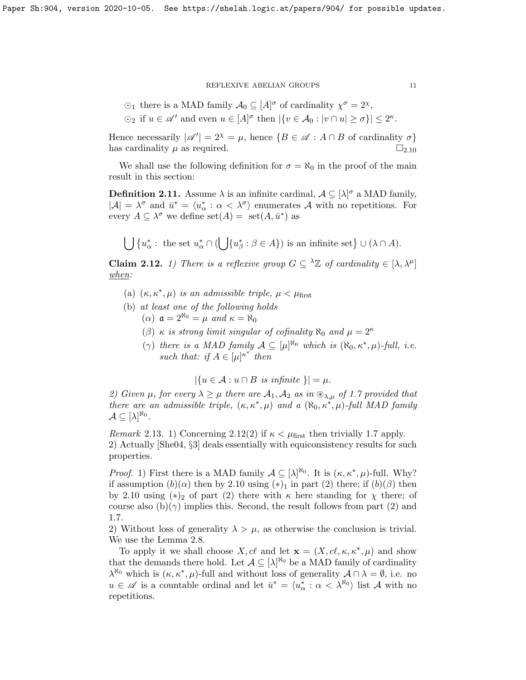- $\odot$ <sub>1</sub> there is a MAD family  $\mathcal{A}_0 \subseteq [A]^\sigma$  of cardinality  $\chi^\sigma = 2^\chi$ ,
- $\odot_2$  if  $u \in \mathscr{A}'$  and even  $u \in [A]^\sigma$  then  $|\{v \in A_0 : |v \cap u| \ge \sigma\}| \le 2^{\kappa}$ .

Hence necessarily  $|\mathscr{A}'| = 2^{\chi} = \mu$ , hence  $\{B \in \mathscr{A} : A \cap B$  of cardinality  $\sigma\}$ has cardinality  $\mu$  as required.  $\Box_{2,10}$  $\Box_{2,10}$  $\Box_{2,10}$ 

We shall use the following definition for  $\sigma = \aleph_0$  in the proof of the main result in this section:

<span id="page-10-1"></span>**Definition 2.11.** Assume  $\lambda$  is an infinite cardinal,  $\mathcal{A} \subseteq [\lambda]^\sigma$  a MAD family,  $|\mathcal{A}| = \lambda^{\sigma}$  and  $\bar{u}^* = \langle u_{\alpha}^* : \alpha < \lambda^{\sigma} \rangle$  enumerates A with no repetitions. For every  $A \subseteq \lambda^{\sigma}$  we define  $set(A) = set(A, \bar{u}^*)$  as

 $\bigcup \{u_{\alpha}^* : \text{ the set } u_{\alpha}^* \cap (\bigcup \{u_{\beta}^* : \beta \in A\}) \text{ is an infinite set}\} \cup (\lambda \cap A).$ 

<span id="page-10-0"></span>**Claim 2.12.** 1) There is a reflexive group  $G \subseteq {}^{\lambda} \mathbb{Z}$  of cardinality  $\in [\lambda, \lambda^{\mu}]$ when:

- (a)  $(\kappa, \kappa^*, \mu)$  is an admissible triple,  $\mu < \mu_{\text{first}}$
- (b) at least one of the following holds
	- ( $\alpha$ )  $\mathfrak{a} = 2^{\aleph_0} = \mu$  and  $\kappa = \aleph_0$
	- (β)  $\kappa$  is strong limit singular of cofinality  $\aleph_0$  and  $\mu = 2^{\kappa}$
	- ( $\gamma$ ) there is a MAD family  $\mathcal{A} \subseteq [\mu]^{\aleph_0}$  which is  $(\aleph_0, \kappa^*, \mu)$ -full, i.e. such that: if  $A \in [\mu]^{\kappa^*}$  then

 $|\{u \in \mathcal{A} : u \cap B \text{ is infinite }\}| = \mu.$ 

2) Given  $\mu$ , for every  $\lambda \geq \mu$  there are  $\mathcal{A}_1, \mathcal{A}_2$  as in  $\mathcal{D}_{\lambda,\mu}$  of [1.7](#page-5-1) provided that there are an admissible triple,  $(\kappa, \kappa^*, \mu)$  and a  $(\aleph_0, \kappa^*, \mu)$ -full MAD family  $\mathcal{A} \subseteq [\lambda]^{\aleph_0}.$ 

*Remark* 2.13. 1) Concerning [2.12\(](#page-10-0)2) if  $\kappa < \mu_{\text{first}}$  then trivially [1.7](#page-5-1) apply. 2) Actually [\[She04,](#page-18-4) §3] deals essentially with equiconsistency results for such properties.

*Proof.* 1) First there is a MAD family  $A \subseteq [\lambda]^{\aleph_0}$ . It is  $(\kappa, \kappa^*, \mu)$ -full. Why? if assumption  $(b)(\alpha)$  then by [2.10](#page-9-2) using  $(*)_1$  in part (2) there; if  $(b)(\beta)$  then by [2.10](#page-9-2) using  $(*)_2$  of part (2) there with  $\kappa$  here standing for  $\chi$  there; of course also  $(b)(\gamma)$  implies this. Second, the result follows from part (2) and [1.7.](#page-5-1)

2) Without loss of generality  $\lambda > \mu$ , as otherwise the conclusion is trivial. We use the Lemma [2.8.](#page-9-0)

To apply it we shall choose X, cl and let  $\mathbf{x} = (X, c\ell, \kappa, \kappa^*, \mu)$  and show that the demands there hold. Let  $A \subseteq [\lambda]^{\aleph_0}$  be a MAD family of cardinality  $\lambda^{\aleph_0}$  which is  $(\kappa, \kappa^*, \mu)$ -full and without loss of generality  $\mathcal{A} \cap \lambda = \emptyset$ , i.e. no  $u \in \mathscr{A}$  is a countable ordinal and let  $\bar{u}^* = \langle u^*_{\alpha} : \alpha < \lambda^{\aleph_0} \rangle$  list A with no repetitions.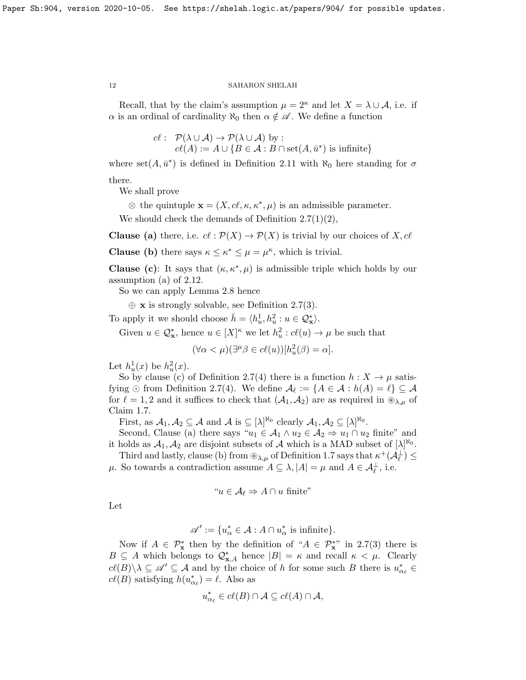Recall, that by the claim's assumption  $\mu = 2^{\kappa}$  and let  $X = \lambda \cup A$ , i.e. if  $\alpha$  is an ordinal of cardinality  $\aleph_0$  then  $\alpha \notin \mathscr{A}$ . We define a function

> $c \ell : \mathcal{P}(\lambda \cup \mathcal{A}) \rightarrow \mathcal{P}(\lambda \cup \mathcal{A})$  by :  $cl(A) := A \cup \{B \in \mathcal{A} : B \cap set(A, \bar{u}^*) \text{ is infinite}\}\$

where  $set(A, \bar{u}^*)$  is defined in Definition [2.11](#page-10-1) with  $\aleph_0$  here standing for  $\sigma$ there.

We shall prove

 $\otimes$  the quintuple  $\mathbf{x} = (X, c\ell, \kappa, \kappa^*, \mu)$  is an admissible parameter.

We should check the demands of Definition [2.7\(](#page-8-0)1)(2),

**Clause** (a) there, i.e.  $c\ell : \mathcal{P}(X) \to \mathcal{P}(X)$  is trivial by our choices of X,  $c\ell$ 

**Clause (b)** there says  $\kappa \leq \kappa^* \leq \mu = \mu^{\kappa}$ , which is trivial.

**Clause** (c): It says that  $(\kappa, \kappa^*, \mu)$  is admissible triple which holds by our assumption (a) of [2.12.](#page-10-0)

So we can apply Lemma [2.8](#page-9-0) hence

 $\oplus$  **x** is strongly solvable, see Definition [2.7\(](#page-8-0)3).

To apply it we should choose  $\bar{h} = \langle h_u^1, h_u^2 : u \in \mathcal{Q}_{\mathbf{x}}^* \rangle$ .

Given  $u \in \mathcal{Q}_{\mathbf{x}}^*$ , hence  $u \in [X]^{\kappa}$  we let  $h_u^2 : c\ell(u) \to \mu$  be such that

$$
(\forall \alpha < \mu)(\exists^{\mu}\beta \in cl(u))[h_u^2(\beta) = \alpha].
$$

Let  $h_u^1(x)$  be  $h_u^2(x)$ .

So by clause (c) of Definition [2.7\(](#page-8-0)4) there is a function  $h: X \to \mu$  satisfying  $\odot$  from Definition [2.7\(](#page-8-0)4). We define  $\mathcal{A}_{\ell} := \{A \in \mathcal{A} : h(A) = \ell\} \subseteq \mathcal{A}$ for  $\ell = 1, 2$  and it suffices to check that  $(\mathcal{A}_1, \mathcal{A}_2)$  are as required in  $\mathcal{D}_{\lambda,\mu}$  of Claim [1.7.](#page-5-1)

First, as  $A_1, A_2 \subseteq A$  and  $A$  is  $\subseteq [\lambda]^{\aleph_0}$  clearly  $A_1, A_2 \subseteq [\lambda]^{\aleph_0}$ .

Second, Clause (a) there says " $u_1 \in A_1 \wedge u_2 \in A_2 \Rightarrow u_1 \cap u_2$  finite" and it holds as  $A_1, A_2$  are disjoint subsets of A which is a MAD subset of  $[\lambda]^{R_0}$ .

Third and lastly, clause (b) from  $\otimes_{\lambda,\mu}$  of Definition [1.7](#page-5-1) says that  $\kappa^+(\mathcal{A}_{\ell}^{\perp}) \leq$  $\mu$ . So towards a contradiction assume  $A \subseteq \lambda, |A| = \mu$  and  $A \in \mathcal{A}_{\ell}^{\perp}$ , i.e.

"
$$
u \in \mathcal{A}_{\ell} \Rightarrow A \cap u
$$
 finite"

Let

$$
\mathscr{A}' := \{ u_{\alpha}^* \in \mathcal{A} : A \cap u_{\alpha}^* \text{ is infinite} \}.
$$

Now if  $A \in \mathcal{P}_{\mathbf{x}}^*$  then by the definition of " $A \in \mathcal{P}_{\mathbf{x}}^{**}$  in [2.7\(](#page-8-0)3) there is  $B \subseteq A$  which belongs to  $\mathcal{Q}_{\mathbf{x},A}^*$  hence  $|B| = \kappa$  and recall  $\kappa < \mu$ . Clearly  $c\ell(B)\setminus \lambda\subseteq\mathscr{A}'\subseteq\mathcal{A}$  and by the choice of h for some such B there is  $u^*_{\alpha_{\ell}}\in$  $c\ell(B)$  satisfying  $h(u_{\alpha_{\ell}}^{*}) = \ell$ . Also as

$$
u_{\alpha_{\ell}}^* \in cl(B) \cap \mathcal{A} \subseteq cl(A) \cap \mathcal{A},
$$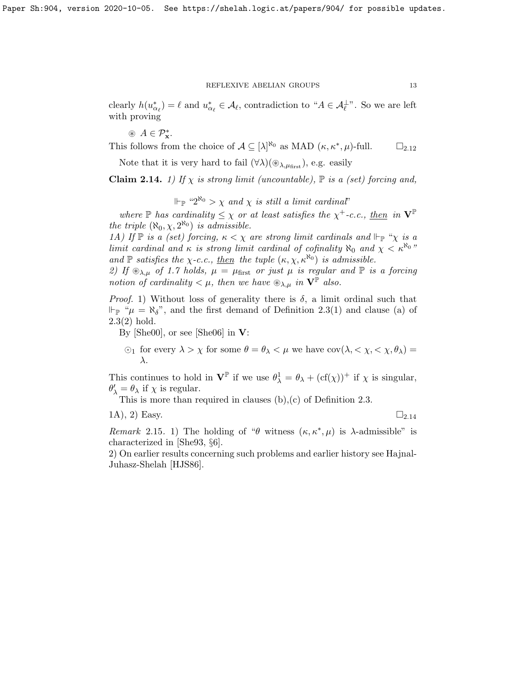clearly  $h(u_{\alpha_{\ell}}^{*}) = \ell$  and  $u_{\alpha_{\ell}}^{*} \in \mathcal{A}_{\ell}$ , contradiction to " $A \in \mathcal{A}_{\ell}^{\perp}$ ". So we are left with proving

 $\circledast A \in \mathcal{P}_{\mathbf{x}}^*$ .

This follows from the choice of  $\mathcal{A} \subseteq [\lambda]^{\aleph_0}$  as MAD  $(\kappa, \kappa^*, \mu)$ -full.  $\square_{2.12}$  $\square_{2.12}$  $\square_{2.12}$ 

Note that it is very hard to fail  $(\forall \lambda)(\otimes_{\lambda,\mu_{\text{first}}})$ , e.g. easily

<span id="page-12-0"></span>**Claim 2.14.** 1) If  $\chi$  is strong limit (uncountable),  $\mathbb P$  is a (set) forcing and,

 $\mathbb{P} \mathbb{P}^{n_2 \aleph_0} > \chi$  and  $\chi$  is still a limit cardinal"

where  $\mathbb P$  has cardinality  $\leq \chi$  or at least satisfies the  $\chi^+$ -c.c., then in  $V^{\mathbb P}$ the triple  $(\aleph_0, \chi, 2^{\aleph_0})$  is admissible.

1A) If  $\mathbb P$  is a (set) forcing,  $\kappa < \chi$  are strong limit cardinals and  $\Vdash_{\mathbb P}$  " $\chi$  is a limit cardinal and  $\kappa$  is strong limit cardinal of cofinality  $\aleph_0$  and  $\chi < \kappa^{\aleph_0}$ " and  $\mathbb P$  satisfies the  $\chi$ -c.c., then the tuple  $(\kappa, \chi, \kappa^{\aleph_0})$  is admissible.

2) If  $\mathcal{D}_{\lambda,\mu}$  of [1.7](#page-5-1) holds,  $\mu = \mu_{\text{first}}$  or just  $\mu$  is regular and  $\mathbb P$  is a forcing notion of cardinality  $\lt \mu$ , then we have  $\mathcal{L}_{\lambda,\mu}$  in  $\mathbf{V}^{\mathbb{P}}$  also.

*Proof.* 1) Without loss of generality there is  $\delta$ , a limit ordinal such that  $\Vdash_{\mathbb{P}}$  " $\mu = \aleph_{\delta}$ ", and the first demand of Definition [2.3\(](#page-7-1)1) and clause (a) of [2.3\(](#page-7-1)2) hold.

By [\[She00\]](#page-18-3), or see [\[She06\]](#page-18-5) in  $V$ :

 $\odot_1$  for every  $\lambda > \chi$  for some  $\theta = \theta_{\lambda} < \mu$  we have  $cov(\lambda, \langle \chi, \langle \chi, \theta_{\lambda} \rangle)$ λ.

This continues to hold in  $\mathbf{V}^{\mathbb{P}}$  if we use  $\theta_{\lambda}^1 = \theta_{\lambda} + (\text{cf}(\chi))^+$  if  $\chi$  is singular,  $\theta'_{\lambda} = \theta_{\lambda}$  if  $\chi$  is regular.

This is more than required in clauses (b),(c) of Definition [2.3.](#page-7-1)

$$
(1A), 2) Easy. \qquad \qquad \square_{2.14}
$$

Remark 2.15. 1) The holding of " $\theta$  witness  $(\kappa, \kappa^*, \mu)$  is  $\lambda$ -admissible" is characterized in [\[She93,](#page-18-6) §6].

2) On earlier results concerning such problems and earlier history see Hajnal-Juhasz-Shelah [\[HJS86\]](#page-18-7).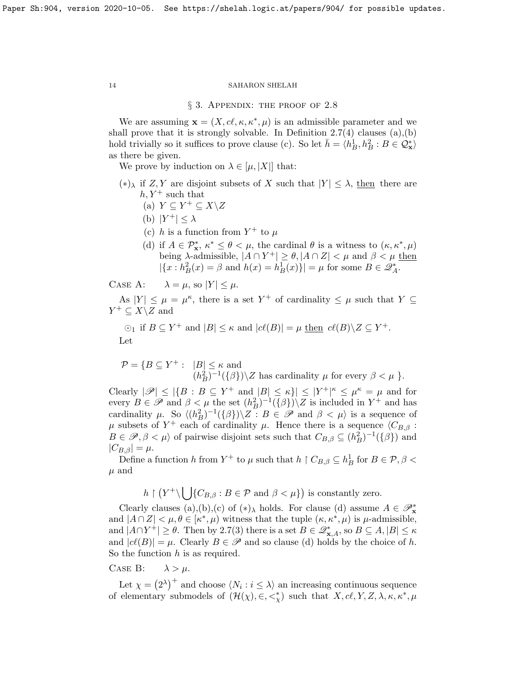#### § 3. APPENDIX: THE PROOF OF [2.8](#page-9-0)

We are assuming  $\mathbf{x} = (X, c\ell, \kappa, \kappa^*, \mu)$  is an admissible parameter and we shall prove that it is strongly solvable. In Definition  $2.7(4)$  clauses  $(a)(b)$ hold trivially so it suffices to prove clause (c). So let  $\bar{h} = \langle h_B^1, h_B^2 : B \in \mathcal{Q}_{\mathbf{x}}^* \rangle$ as there be given.

We prove by induction on  $\lambda \in [\mu, |X|]$  that:

- $(*)_\lambda$  if Z, Y are disjoint subsets of X such that  $|Y| \leq \lambda$ , then there are  $h, Y^+$  such that
	- (a)  $Y \subseteq Y^+ \subseteq X \backslash Z$
	- (b)  $|Y^+| \leq \lambda$
	- (c) h is a function from  $Y^+$  to  $\mu$
	- (d) if  $A \in \mathcal{P}_{\mathbf{x}}^*$ ,  $\kappa^* \leq \theta \lt \mu$ , the cardinal  $\theta$  is a witness to  $(\kappa, \kappa^*, \mu)$ being  $\lambda$ -admissible,  $|A \cap Y^+| \ge \theta$ ,  $|A \cap Z| < \mu$  and  $\beta < \mu$  then  $|\{x : h_B^2(x) = \beta \text{ and } h(x) = h_B^1(x)\}| = \mu \text{ for some } B \in \mathcal{Z}_A^*$ .

CASE A:  $\lambda = \mu$ , so  $|Y| \leq \mu$ .

As  $|Y| \leq \mu = \mu^{\kappa}$ , there is a set  $Y^+$  of cardinality  $\leq \mu$  such that  $Y \subseteq$  $Y^+ \subseteq X \backslash Z$  and

$$
\odot_1
$$
 if  $B \subseteq Y^+$  and  $|B| \le \kappa$  and  $|c\ell(B)| = \mu$  then  $c\ell(B)\setminus Z \subseteq Y^+$ .  
Let

$$
\mathcal{P} = \{ B \subseteq Y^+ : \ |B| \le \kappa \text{ and } (h_B^2)^{-1}(\{\beta\}) \setminus Z \text{ has cardinality } \mu \text{ for every } \beta < \mu \}.
$$

Clearly  $|\mathscr{P}| \leq |\{B : B \subseteq Y^+ \text{ and } |B| \leq \kappa\}| \leq |Y^+|^{\kappa} \leq \mu^{\kappa} = \mu$  and for every  $B \in \mathscr{P}$  and  $\beta < \mu$  the set  $(h_B^2)^{-1}(\{\beta\})\setminus Z$  is included in  $Y^+$  and has cardinality  $\mu$ . So  $\langle (h_B^2)^{-1}(\{\beta\}) \setminus \overline{Z} : B \in \mathscr{P}$  and  $\beta < \mu$  is a sequence of μ subsets of Y<sup>+</sup> each of cardinality μ. Hence there is a sequence  $\langle C_{B,\beta}$ :  $B \in \mathscr{P}, \beta < \mu$  of pairwise disjoint sets such that  $C_{B,\beta} \subseteq (h_B^2)^{-1}(\{\beta\})$  and  $|C_{B,\beta}| = \mu.$ 

Define a function h from Y<sup>+</sup> to  $\mu$  such that  $h \restriction C_{B,\beta} \subseteq h_B^1$  for  $B \in \mathcal{P}, \beta$  $\mu$  and

$$
h \upharpoonright (Y^+ \setminus \bigcup \{C_{B,\beta} : B \in \mathcal{P} \text{ and } \beta < \mu \})
$$
 is constantly zero.

Clearly clauses (a),(b),(c) of  $(*)$ , holds. For clause (d) assume  $A \in \mathscr{P}_{\mathbf{x}}^*$ and  $|A \cap Z| < \mu, \theta \in [\kappa^*, \mu)$  witness that the tuple  $(\kappa, \kappa^*, \mu)$  is  $\mu$ -admissible, and  $|A \cap Y^+| \ge \theta$ . Then by [2.7\(](#page-8-0)3) there is a set  $B \in \mathscr{Q}_{\mathbf{x},A}^*$ , so  $B \subseteq A, |B| \le \kappa$ and  $|c\ell(B)| = \mu$ . Clearly  $B \in \mathscr{P}$  and so clause (d) holds by the choice of h. So the function  $h$  is as required.

## CASE B:  $\lambda > \mu$ .

Let  $\chi = (2^{\lambda})^+$  and choose  $\langle N_i : i \leq \lambda \rangle$  an increasing continuous sequence of elementary submodels of  $(\mathcal{H}(\chi), \in, \leq^*_{\chi})$  such that  $X, cl, Y, Z, \lambda, \kappa, \kappa^*, \mu$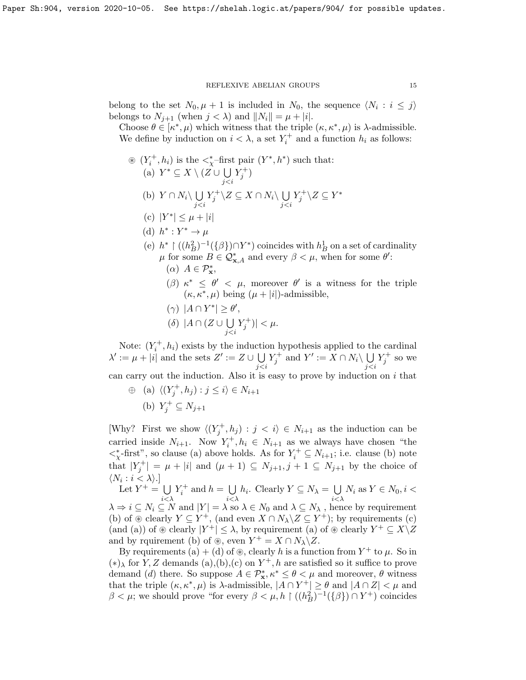belong to the set  $N_0, \mu + 1$  is included in  $N_0$ , the sequence  $\langle N_i : i \leq j \rangle$ belongs to  $N_{j+1}$  (when  $j < \lambda$ ) and  $||N_i|| = \mu + |i|$ .

Choose  $\theta \in [\kappa^*, \mu]$  which witness that the triple  $(\kappa, \kappa^*, \mu)$  is  $\lambda$ -admissible. We define by induction on  $i < \lambda$ , a set  $Y_i^+$  and a function  $h_i$  as follows:

\n- \n
$$
(\mathbf{Y}_i^+, h_i)
$$
 is the  $\langle \chi^+ \text{-first pair } (Y^*, h^*)$  such that:\n
	\n- (a)  $Y^* \subseteq X \setminus (Z \cup \bigcup_{j < i} Y_j^+)$
	\n- (b)  $Y \cap N_i \setminus \bigcup_{j < i} Y_j^+ \setminus Z \subseteq X \cap N_i \setminus \bigcup_{j < i} Y_j^+ \setminus Z \subseteq Y^*$
	\n- (c)  $|Y^*| \leq \mu + |i|$
	\n- (d)  $h^* : Y^* \to \mu$
	\n- (e)  $h^* \upharpoonright ((h_B^2)^{-1}(\{\beta\}) \cap Y^*)$  coincides with  $h_B^1$  on a set of cardinality  $\mu$  for some  $B \in \mathcal{Q}_{\mathbf{x},A}^*$  and every  $\beta < \mu$ , when for some  $\theta'$ :\n
		\n- ( $\alpha$ )  $A \in \mathcal{P}_{\mathbf{x}}^*$ ,
		\n- ( $\beta$ )  $\kappa^* \leq \theta' < \mu$ , moreover  $\theta'$  is a witness for the triple\n
		\n\n
	\n

- r the triple  $(\kappa, \kappa^*, \mu)$  being  $(\mu + |i|)$ -admissible,
- ( $\gamma$ )  $|A \cap Y^*| \ge \theta'$ ,
- $(\delta)$  | $A \cap (Z \cup \bigcup$ j<i  $|Y_j^+)| < \mu.$

Note:  $(Y_i^+, h_i)$  exists by the induction hypothesis applied to the cardinal  $\lambda' := \mu + |i|$  and the sets  $Z' := Z \cup \bigcup$ j<i  $Y_j^+$  and  $Y' := X \cap N_i \setminus \bigcup$ j<i  $Y_j^+$  so we can carry out the induction. Also it is easy to prove by induction on  $i$  that

 $\oplus$  (a)  $\langle (Y_j^+, h_j) : j \leq i \rangle \in N_{i+1}$ (b)  $Y_j^+ \subseteq N_{j+1}$ 

[Why? First we show  $\langle (Y_j^+, h_j) : j \langle i \rangle \in N_{i+1}$  as the induction can be carried inside  $N_{i+1}$ . Now  $Y_i^+, h_i \in N_{i+1}$  as we always have chosen "the  $\langle x \rangle^*$ -first", so clause (a) above holds. As for  $Y_i^+ \subseteq N_{i+1}$ ; i.e. clause (b) note that  $|Y_j^+| = \mu + |i|$  and  $(\mu + 1) \subseteq N_{j+1}, j+1 \subseteq N_{j+1}$  by the choice of  $\langle N_i : i < \lambda \rangle.$ 

Let  $Y^+ = \bigcup$  $i<\lambda$  $Y_i^+$  and  $h = \bigcup$  $i<\lambda$  $h_i$ . Clearly  $Y \subseteq N_\lambda = \bigcup$  $i<\lambda$  $N_i$  as  $Y \in N_0, i <$  $\lambda \Rightarrow i \subseteq N_i \subseteq N$  and  $|Y| = \lambda$  so  $\lambda \in N_0$  and  $\lambda \subseteq N_\lambda$ , hence by requirement (b) of  $\otimes$  clearly  $Y \subseteq Y^+$ , (and even  $X \cap N_\lambda \backslash Z \subseteq Y^+$ ); by requirements (c) (and (a)) of  $\mathcal{D}$  clearly  $|Y^+| \leq \lambda$ , by requirement (a) of  $\mathcal{D}$  clearly  $Y^+ \subseteq X \backslash Z$ and by rquirement (b) of  $\mathcal{L}$ , even  $Y^+ = X \cap N_\lambda \backslash Z$ .

By requirements (a) + (d) of  $\circledast$ , clearly h is a function from Y<sup>+</sup> to  $\mu$ . So in (∗)<sup>λ</sup> for Y, Z demands (a),(b),(c) on Y <sup>+</sup>, h are satisfied so it suffice to prove demand (*d*) there. So suppose  $A \in \mathcal{P}_{\mathbf{x}}^*$ ,  $\kappa^* \leq \theta \leq \mu$  and moreover,  $\theta$  witness that the triple  $(\kappa, \kappa^*, \mu)$  is  $\lambda$ -admissible,  $|A \cap Y^+| \ge \theta$  and  $|A \cap Z| < \mu$  and  $\beta < \mu$ ; we should prove "for every  $\beta < \mu, h \restriction ((h_B^2)^{-1}(\{\beta\}) \cap Y^+)$  coincides

 $\cdot$ :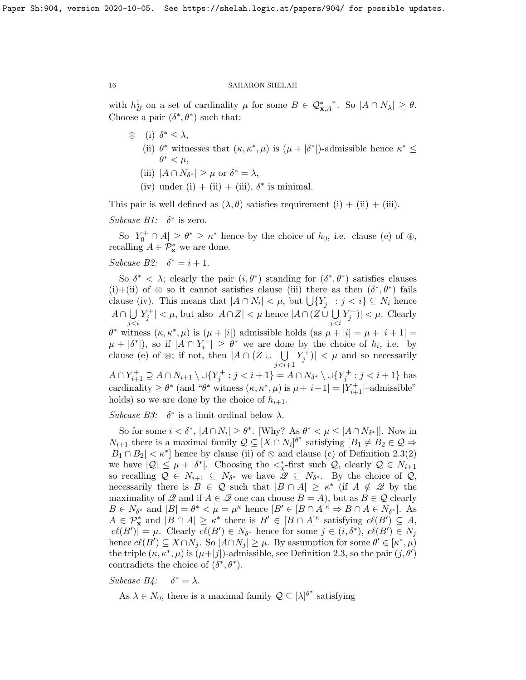with  $h_B^1$  on a set of cardinality  $\mu$  for some  $B \in \mathcal{Q}_{\mathbf{x},A}^*$ . So  $|A \cap N_\lambda| \ge \theta$ . Choose a pair  $(\delta^*, \theta^*)$  such that:

- $\otimes$  (i)  $\delta^* \leq \lambda$ , (ii)  $\theta^*$  witnesses that  $(\kappa, \kappa^*, \mu)$  is  $(\mu + |\delta^*|)$ -admissible hence  $\kappa^* \leq$  $\theta^* < \mu$ ,
	- (iii)  $|A \cap N_{\delta^*}| \geq \mu$  or  $\delta^* = \lambda$ ,
	- (iv) under (i) + (ii) + (iii),  $\delta^*$  is minimal.

This pair is well defined as  $(\lambda, \theta)$  satisfies requirement  $(i) + (ii) + (iii)$ .

Subcase  $B1$ :  $\delta^*$  is zero.

So  $|Y_0^+ \cap A| \ge \theta^* \ge \kappa^*$  hence by the choice of  $h_0$ , i.e. clause (e) of  $\otimes$ , recalling  $A \in \mathcal{P}_\mathbf{x}^*$  we are done.

## Subcase B2:  $\delta^* = i + 1$ .

So  $\delta^* < \lambda$ ; clearly the pair  $(i, \theta^*)$  standing for  $(\delta^*, \theta^*)$  satisfies clauses (i)+(ii) of  $\otimes$  so it cannot satisfies clause (iii) there as then  $(\delta^*, \theta^*)$  fails clause (iv). This means that  $|A \cap N_i| < \mu$ , but  $\bigcup \{Y_j^+ : j < i\} \subseteq N_i$  hence  $|A \cap \bigcup$ j<i  $|Y_j^+| < \mu$ , but also  $|A \cap Z| < \mu$  hence  $|A \cap (Z \cup \bigcup$ j<i  $|Y_j^+)| < \mu$ . Clearly  $\theta^*$  witness  $(\kappa, \kappa^*, \mu)$  is  $(\mu + |i|)$  admissible holds  $(\text{as } \mu + |i| = \mu + |i + 1| =$  $\mu + |\delta^*|$ , so if  $|A \cap Y_i^+| \geq \theta^*$  we are done by the choice of  $h_i$ , i.e. by clause (e) of  $\circledast$ ; if not, then  $|A \cap (Z \cup \cup \cup)$  $j < i+1$  $|Y_j^+| < \mu$  and so necessarily  $A \cap Y_{i+1}^+ \supseteq A \cap N_{i+1} \setminus \cup \{Y_j^+ : j < i+1\} = A \cap N_{\delta^*} \setminus \cup \{Y_j^+ : j < i+1\}$  has cardinality  $\geq \theta^*$  (and " $\theta^*$  witness  $(\kappa, \kappa^*, \mu)$  is  $\mu + |i+1| = |Y^+_{i+1}|$ -admissible" holds) so we are done by the choice of  $h_{i+1}$ .

Subcase B3:  $\delta^*$  is a limit ordinal below  $\lambda$ .

So for some  $i < \delta^*$ ,  $|A \cap N_i| \ge \theta^*$ . [Why? As  $\theta^* < \mu \le |A \cap N_{\delta^*}|$ ]. Now in  $N_{i+1}$  there is a maximal family  $\mathcal{Q} \subseteq [X \cap N_i]^{\theta^*}$  satisfying  $[B_1 \neq B_2 \in \mathcal{Q} \Rightarrow$  $|B_1 \cap B_2| < \kappa^*$  hence by clause (ii) of ⊗ and clause (c) of Definition [2.3\(](#page-7-1)2) we have  $|Q| \leq \mu + |\delta^*|$ . Choosing the  $\langle \chi^*|$ -first such  $Q$ , clearly  $Q \in N_{i+1}$ so recalling  $\mathcal{Q} \in N_{i+1} \subseteq N_{\delta^*}$  we have  $\mathcal{Q} \subseteq N_{\delta^*}$ . By the choice of  $\mathcal{Q},$ necessarily there is  $B \in \mathcal{Q}$  such that  $|B \cap A| \geq \kappa^*$  (if  $A \notin \mathcal{Q}$  by the maximality of  $\mathscr Q$  and if  $A \in \mathscr Q$  one can choose  $B = A$ ), but as  $B \in \mathscr Q$  clearly  $B \in N_{\delta^*}$  and  $|B| = \theta^* < \mu = \mu^{\kappa}$  hence  $[B' \in [B \cap A]^{\kappa} \Rightarrow B \cap A \in N_{\delta^*}].$  As  $A \in \mathcal{P}_{\mathbf{x}}^*$  and  $|B \cap A| \geq \kappa^*$  there is  $B' \in [B \cap A]^{\kappa}$  satisfying  $c\ell(B') \subseteq A$ ,  $|c\ell(B')| = \mu$ . Clearly  $c\ell(B') \in N_{\delta^*}$  hence for some  $j \in (i, \delta^*)$ ,  $c\ell(B') \in N_j$ hence  $cl(B') \subseteq X \cap N_j$ . So  $|A \cap N_j| \geq \mu$ . By assumption for some  $\theta' \in [\kappa^*, \mu)$ the triple  $(\kappa, \kappa^*, \mu)$  is  $(\mu + |j|)$ -admissible, see Definition [2.3,](#page-7-1) so the pair  $(j, \theta')$ contradicts the choice of  $(\delta^*, \theta^*)$ .

Subcase  $B$ 4:  $\delta^* = \lambda$ .

As  $\lambda \in N_0$ , there is a maximal family  $\mathcal{Q} \subseteq [\lambda]^{\theta^*}$  satisfying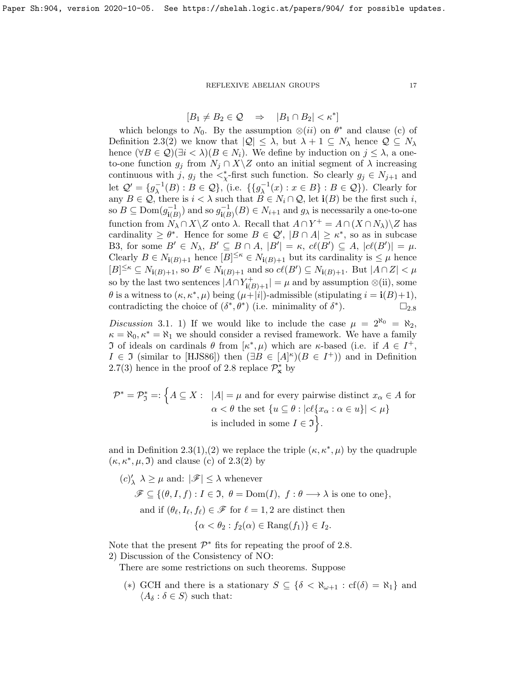# $[B_1 \neq B_2 \in \mathcal{Q} \Rightarrow |B_1 \cap B_2| < \kappa^*]$

which belongs to  $N_0$ . By the assumption  $\otimes (ii)$  on  $\theta^*$  and clause (c) of Definition [2.3\(](#page-7-1)2) we know that  $|Q| \leq \lambda$ , but  $\lambda + 1 \subseteq N_\lambda$  hence  $Q \subseteq N_\lambda$ hence  $(\forall B \in \mathcal{Q})(\exists i < \lambda)(B \in N_i)$ . We define by induction on  $j \leq \lambda$ , a oneto-one function  $g_j$  from  $N_j \cap X \setminus Z$  onto an initial segment of  $\lambda$  increasing continuous with j,  $g_j$  the  $\lt^*_{\chi}$ -first such function. So clearly  $g_j \in N_{j+1}$  and let  $\mathcal{Q}' = \{g_{\lambda}^{-1}$  $\chi^{-1}(B) : B \in \mathcal{Q}$ , (i.e.  $\{ \{g_{\lambda}^{-1}\}$  $\overline{\lambda}^{-1}(x) : x \in B$  :  $B \in \mathcal{Q}$ ). Clearly for any  $B \in \mathcal{Q}$ , there is  $i < \lambda$  such that  $B \in N_i \cap \mathcal{Q}$ , let  $\mathbf{i}(B)$  be the first such i, so  $B \subseteq \text{Dom}(g_{i}^{-1})$  $\binom{-1}{\mathbf{i}(B)}$  and so  $g_{\mathbf{i}(E)}^{-1}$  $i(B) \in N_{i+1}$  and  $g_{\lambda}$  is necessarily a one-to-one function from  $N_{\lambda} \cap X \setminus Z$  onto  $\lambda$ . Recall that  $A \cap Y^+ = A \cap (X \cap N_{\lambda}) \setminus Z$  has cardinality  $\geq \theta^*$ . Hence for some  $B \in \mathcal{Q}'$ ,  $|B \cap A| \geq \kappa^*$ , so as in subcase B3, for some  $B' \in N_\lambda$ ,  $B' \subseteq B \cap A$ ,  $|B'| = \kappa$ ,  $c\ell(B') \subseteq A$ ,  $|c\ell(B')| = \mu$ . Clearly  $B \in N_{i(B)+1}$  hence  $[B]^{\leq \kappa} \in N_{i(B)+1}$  but its cardinality is  $\leq \mu$  hence  $[B]^{\leq\kappa} \subseteq N_{\mathbf{i}(B)+1}$ , so  $B' \in N_{\mathbf{i}(B)+1}$  and so  $cl(B') \subseteq N_{\mathbf{i}(B)+1}$ . But  $|A \cap Z| < \mu$ so by the last two sentences  $|A \cap Y^+_{\mathbf{i}(B)+1}| = \mu$  and by assumption ⊗(ii), some  $\theta$  is a witness to  $(\kappa, \kappa^*, \mu)$  being  $(\mu + |i|)$ -admissible (stipulating  $i = \mathbf{i}(B) + 1$ ), contradicting the choice of  $(\delta^*, \theta^*)$  (i.e. minimality of  $\delta^*$  $\square_{2.8}$  $\square_{2.8}$  $\square_{2.8}$ 

Discussion 3.1. 1) If we would like to include the case  $\mu = 2^{\aleph_0} = \aleph_2$ ,  $\kappa = \aleph_0, \kappa^* = \aleph_1$  we should consider a revised framework. We have a family J of ideals on cardinals θ from  $\kappa^*$ , μ) which are κ-based (i.e. if  $A \in I^+$ ,  $I \in \mathfrak{I}$  (similar to [\[HJS86\]](#page-18-7)) then  $(\exists B \in [A]^{\kappa})(B \in I^+)$  and in Definition [2.7\(](#page-8-0)3) hence in the proof of [2.8](#page-9-0) replace  $\mathcal{P}_{\mathbf{x}}^*$  by

$$
\mathcal{P}^* = \mathcal{P}^*_{\mathfrak{I}} =: \left\{ A \subseteq X : \ |A| = \mu \text{ and for every pairwise distinct } x_{\alpha} \in A \text{ for } \alpha < \theta \text{ the set } \{ u \subseteq \theta : |c\ell\{x_{\alpha} : \alpha \in u\}| < \mu \right\}
$$
  
is included in some  $I \in \mathfrak{I} \left\}.$ 

and in Definition [2.3\(](#page-7-1)1),(2) we replace the triple  $(\kappa, \kappa^*, \mu)$  by the quadruple  $(\kappa, \kappa^*, \mu, \mathfrak{I})$  and clause (c) of [2.3\(](#page-7-1)2) by

$$
(c)'_{\lambda} \lambda \ge \mu \text{ and: } |\mathscr{F}| \le \lambda \text{ whenever}
$$
  

$$
\mathscr{F} \subseteq \{(\theta, I, f) : I \in \mathfrak{I}, \theta = \text{Dom}(I), f : \theta \longrightarrow \lambda \text{ is one to one}\},
$$
  
and if  $(\theta_{\ell}, I_{\ell}, f_{\ell}) \in \mathscr{F}$  for  $\ell = 1, 2$  are distinct then  

$$
\{\alpha < \theta_2 : f_2(\alpha) \in \text{Rang}(f_1)\} \in I_2.
$$

Note that the present  $\mathcal{P}^*$  fits for repeating the proof of [2.8.](#page-9-0) 2) Discussion of the Consistency of NO:

There are some restrictions on such theorems. Suppose

(\*) GCH and there is a stationary  $S \subseteq {\delta < \aleph_{\omega+1} : cf(\delta) = \aleph_1}$  and  $\langle A_\delta : \delta \in S \rangle$  such that: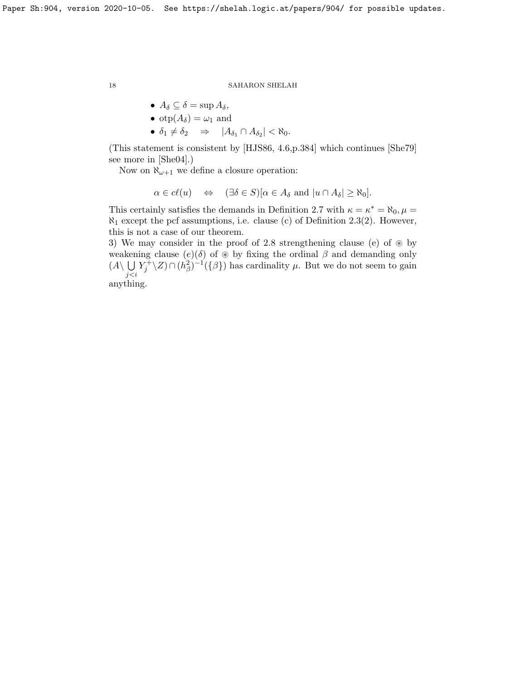\n- \n
$$
A_{\delta} \subseteq \delta = \sup A_{\delta},
$$
\n
\n- \n $\text{otp}(A_{\delta}) = \omega_1 \text{ and}$ \n
\n- \n $\delta_1 \neq \delta_2 \implies |A_{\delta_1} \cap A_{\delta_2}| < \aleph_0.$ \n
\n

(This statement is consistent by [\[HJS86,](#page-18-7) 4.6,p.384] which continues [\[She79\]](#page-18-8) see more in [\[She04\]](#page-18-4).)

Now on  $\aleph_{\omega+1}$  we define a closure operation:

$$
\alpha \in cl(u) \quad \Leftrightarrow \quad (\exists \delta \in S)[\alpha \in A_{\delta} \text{ and } |u \cap A_{\delta}| \geq \aleph_0].
$$

This certainly satisfies the demands in Definition [2.7](#page-8-0) with  $\kappa = \kappa^* = \aleph_0$ ,  $\mu =$  $\aleph_1$  except the pcf assumptions, i.e. clause (c) of Definition [2.3\(](#page-7-1)2). However, this is not a case of our theorem.

3) We may consider in the proof of [2.8](#page-9-0) strengthening clause (e) of  $\otimes$  by weakening clause  $(e)(\delta)$  of  $\otimes$  by fixing the ordinal  $\beta$  and demanding only  $(A\setminus \bigcup Y_j^{\perp} \setminus Z) \cap (h_\beta^2)^{-1}(\{\beta\})$  has cardinality  $\mu$ . But we do not seem to gain j<i anything.